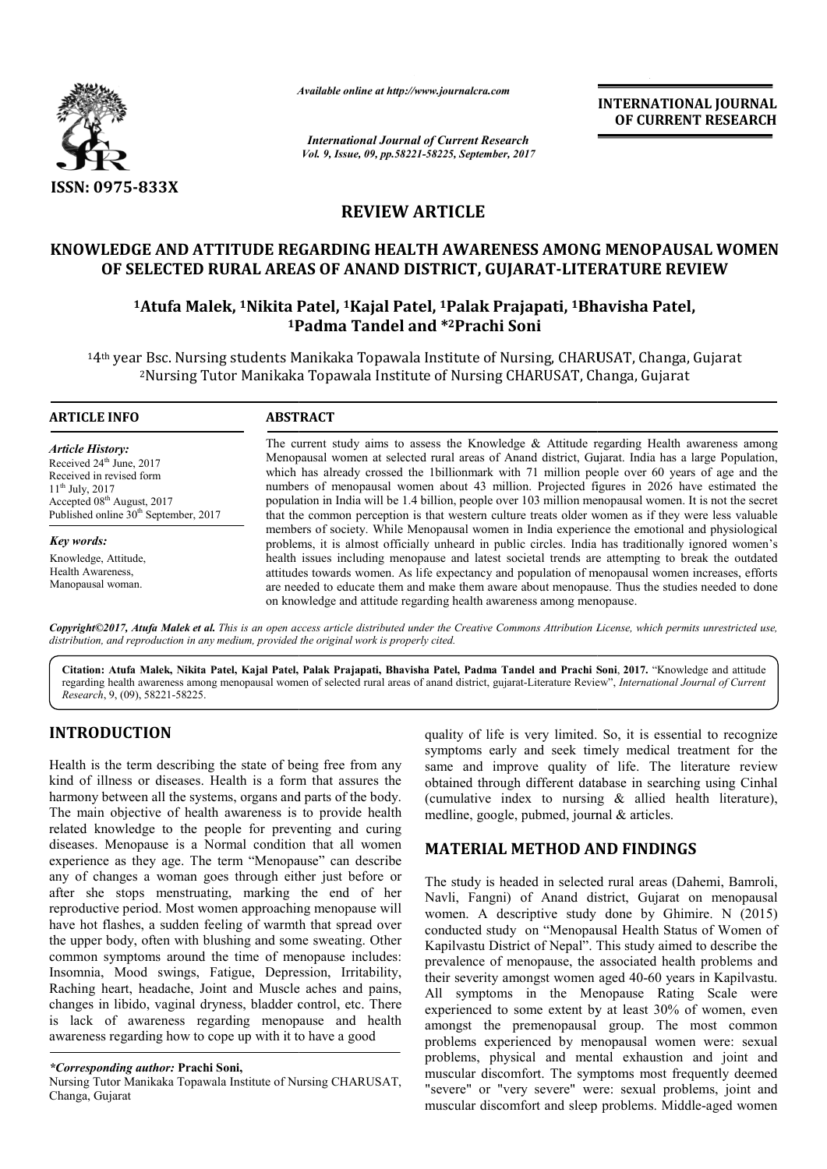

*Available online at http://www.journal http://www.journalcra.com*

*International Journal of Current Research Vol. 9, Issue, 09, pp.58221-58225, September, 2017* **INTERNATIONAL JOURNAL OF CURRENT RESEARCH** 

# **REVIEW ARTICLE**

# **KNOWLEDGE AND ATTITUDE REGARDING HEALTH AWARENESS AMONG MENOPAUSAL WOMEN OF SELECTED RURAL AREAS OF ANAND DISTRICT, GUJARAT GUJARAT-LITERATURE REVIEW** AWARENESS AMONG MENOPAUSAL WOMEN<br>RICT, GUJARAT-LITERATURE REVIEW<br><sup>1</sup>Palak Prajapati, <sup>1</sup>Bhavisha Patel,

# **1Atufa Malek, 1Nikita Patel, Nikita 1Kajal Patel, 1Palak Prajapati, 1Bhavisha Patel, 1Padma Tandel and Padma \*2Prachi Soni**

14th year Bsc. Nursing students Manikaka Topawala Institute of Nursing, CHARUSAT, Changa, Gujarat <sup>.</sup> Bsc. Nursing students Manikaka Topawala Institute of Nursing, CHARUSAT, Changa,<br><sup>2</sup>Nursing Tutor Manikaka Topawala Institute of Nursing CHARUSAT, Changa, Gujarat

| <b>ARTICLE INFO</b>                                                                                                                                                                                                | <b>ABSTRACT</b>                                                                                                                                                                                                                                                                                                                                                                                                                                                                                                                                                                                                    |
|--------------------------------------------------------------------------------------------------------------------------------------------------------------------------------------------------------------------|--------------------------------------------------------------------------------------------------------------------------------------------------------------------------------------------------------------------------------------------------------------------------------------------------------------------------------------------------------------------------------------------------------------------------------------------------------------------------------------------------------------------------------------------------------------------------------------------------------------------|
| <b>Article History:</b><br>Received 24 <sup>th</sup> June, 2017<br>Received in revised form<br>$11^{th}$ July, 2017<br>Accepted 08 <sup>th</sup> August, 2017<br>Published online 30 <sup>th</sup> September, 2017 | The current study aims to assess the Knowledge & Attitude regarding Health awareness among<br>Menopausal women at selected rural areas of Anand district, Gujarat. India has a large Population,<br>which has already crossed the 1billionmark with 71 million people over 60 years of age and the<br>numbers of menopausal women about 43 million. Projected figures in 2026 have estimated the<br>population in India will be 1.4 billion, people over 103 million menopausal women. It is not the secret<br>that the common perception is that western culture treats older women as if they were less valuable |
| <b>Key words:</b>                                                                                                                                                                                                  | members of society. While Menopausal women in India experience the emotional and physiological<br>problems, it is almost officially unheard in public circles. India has traditionally ignored women's                                                                                                                                                                                                                                                                                                                                                                                                             |
| Knowledge, Attitude,<br>Health Awareness,<br>Manopausal woman.                                                                                                                                                     | health issues including menopause and latest societal trends are attempting to break the outdated<br>attitudes towards women. As life expectancy and population of menopausal women increases, efforts<br>are needed to educate them and make them aware about menopause. Thus the studies needed to done<br>on knowledge and attitude regarding health awareness among menopause.                                                                                                                                                                                                                                 |

*Copyright©2017, Atufa Malek et al. This is an open access article distributed under the Creative Commons Att Attribution License, which ribution permits unrestricted use, distribution, and reproduction in any medium, provided the original work is properly cited.*

**Citation: Atufa Malek, Nikita Patel, Kajal Patel, Palak Prajapati, Bhavisha Patel, Padma Tandel and Prachi Soni Patel,** , **2017.** "Knowledge and attitude regarding health awareness among menopausal women of selected rural areas of anand district, gujarat-Literature Review", *International Journal of Current Research*, 9, (09), 58221-58225.

# **INTRODUCTION**

Health is the term describing the state of being free from any kind of illness or diseases. Health is a form that assures the harmony between all the systems, organs and parts of the body. The main objective of health awareness is to provide health related knowledge to the people for preventing and curing diseases. Menopause is a Normal condition that all women experience as they age. The term "Menopause" ca related knowledge to the people for preventing and curing diseases. Menopause is a Normal condition that all women experience as they age. The term "Menopause" can describe any of changes a woman goes through either just before or after she stops menstruating, marking the end of her reproductive period. Most women approaching menopause will have hot flashes, a sudden feeling of warmth that spread over the upper body, often with blushing and some sweating. Other common symptoms around the time of menopause includes: Insomnia, Mood swings, Fatigue, Depression, Irritability, Raching heart, headache, Joint and Muscle aches and pains, changes in libido, vaginal dryness, bladder control, etc. There is lack of awareness regarding menopause and health awareness regarding how to cope up with it to have a good

#### *\*Corresponding author:* **Prachi Soni,**

Nursing Tutor Manikaka Topawala Institute of Nursing CHARUSAT, Changa, Gujarat

quality of life is very limited. So, it is essential to recognize symptoms early and seek timely medical treatment for the symptoms early and seek timely medical treatment for the same and improve quality of life. The literature review obtained through different database in searching using Cinhal (cumulative index to nursing & allied health literature), medline, google, pubmed, journal & articles.

## **MATERIAL METHOD AND FINDINGS FINDINGS**

The study is headed in selected rural areas (Dahemi, Bamroli, Navli, Fangni) of Anand district, Gujarat on menopausal women. A descriptive study done by Ghimire. N (2015) conducted study on "Menopausal Health Status of Women of Kapilvastu District of Nepal". This study aimed to describe the prevalence of menopause, the associated health problems and their severity amongst women aged 40-60 years in Kapilyastu. All symptoms in the Menopause Rating Scale were experienced to some extent by at least 30% of women, even amongst the premenopausal group. The most common problems experienced by menopausal women were: sexual problems, physical and mental exhaustion and joint an muscular discomfort. The symptoms most frequently deemed "severe" or "very severe" were: sexual problems, joint and muscular discomfort and sleep problems. Middle headed in selected rural areas (Dahemi, Bamroli, ii) of Anand district, Gujarat on menopausal descriptive study done by Ghimire. N (2015) study on "Menopausal Health Status of Women of District of Nepal". This study aimed to describe the of menopause, the associated health problems and ity amongst women aged 40-60 years in Kapilvastu. mptoms in the Menopause Rating Scale were<br>nced to some extent by at least 30% of women, even<br>t the premenopausal group. The most common<br>ns experienced by menopausal women were: sexual<br>ns, physical and mental exhaustion and discomfort. The symptoms most frequently deemed<br>or "very severe" were: sexual problems, joint and<br>discomfort and sleep problems. Middle-aged women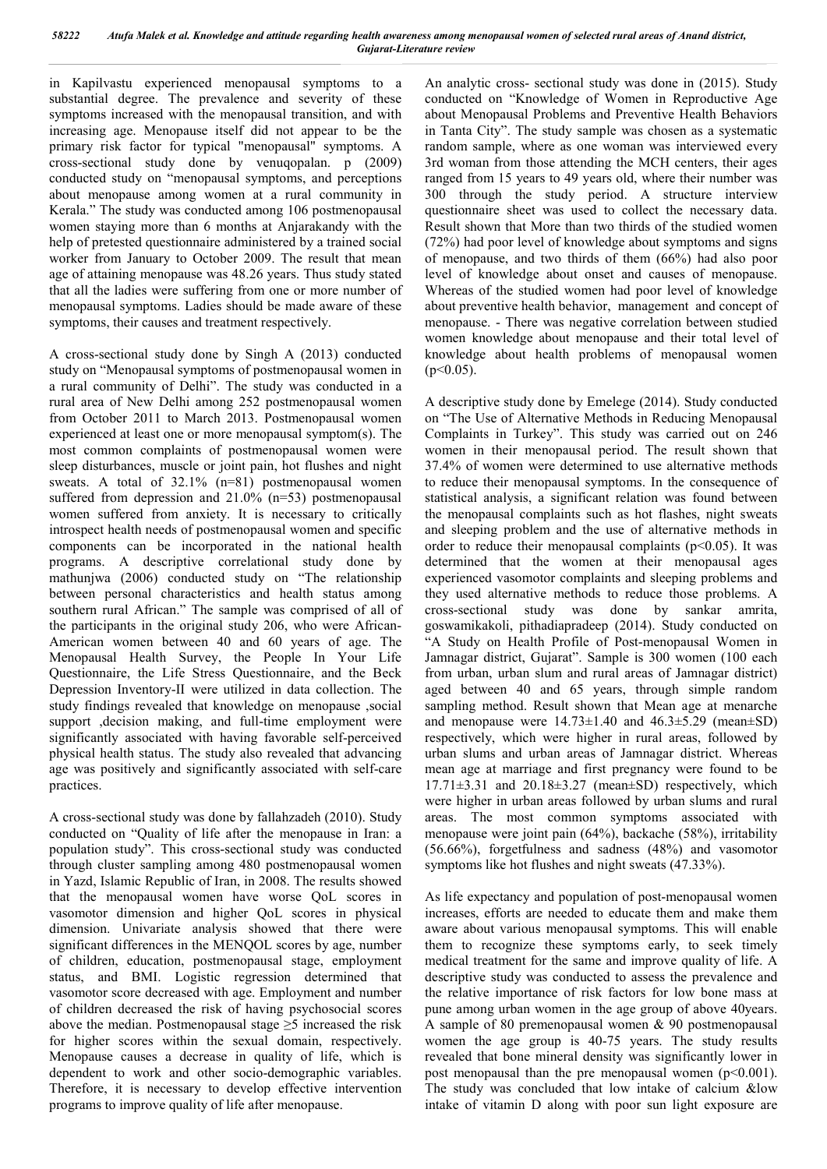in Kapilvastu experienced menopausal symptoms to a substantial degree. The prevalence and severity of these symptoms increased with the menopausal transition, and with increasing age. Menopause itself did not appear to be the primary risk factor for typical "menopausal" symptoms. A cross-sectional study done by venuqopalan. p (2009) conducted study on "menopausal symptoms, and perceptions about menopause among women at a rural community in Kerala." The study was conducted among 106 postmenopausal women staying more than 6 months at Anjarakandy with the help of pretested questionnaire administered by a trained social worker from January to October 2009. The result that mean age of attaining menopause was 48.26 years. Thus study stated that all the ladies were suffering from one or more number of menopausal symptoms. Ladies should be made aware of these symptoms, their causes and treatment respectively.

A cross-sectional study done by Singh A (2013) conducted study on "Menopausal symptoms of postmenopausal women in a rural community of Delhi". The study was conducted in a rural area of New Delhi among 252 postmenopausal women from October 2011 to March 2013. Postmenopausal women experienced at least one or more menopausal symptom(s). The most common complaints of postmenopausal women were sleep disturbances, muscle or joint pain, hot flushes and night sweats. A total of 32.1% (n=81) postmenopausal women suffered from depression and 21.0% (n=53) postmenopausal women suffered from anxiety. It is necessary to critically introspect health needs of postmenopausal women and specific components can be incorporated in the national health programs. A descriptive correlational study done by mathunjwa (2006) conducted study on "The relationship between personal characteristics and health status among southern rural African." The sample was comprised of all of the participants in the original study 206, who were African-American women between 40 and 60 years of age. The Menopausal Health Survey, the People In Your Life Questionnaire, the Life Stress Questionnaire, and the Beck Depression Inventory-II were utilized in data collection. The study findings revealed that knowledge on menopause ,social support , decision making, and full-time employment were significantly associated with having favorable self-perceived physical health status. The study also revealed that advancing age was positively and significantly associated with self-care practices.

A cross-sectional study was done by fallahzadeh (2010). Study conducted on "Quality of life after the menopause in Iran: a population study". This cross-sectional study was conducted through cluster sampling among 480 postmenopausal women in Yazd, Islamic Republic of Iran, in 2008. The results showed that the menopausal women have worse QoL scores in vasomotor dimension and higher QoL scores in physical dimension. Univariate analysis showed that there were significant differences in the MENQOL scores by age, number of children, education, postmenopausal stage, employment status, and BMI. Logistic regression determined that vasomotor score decreased with age. Employment and number of children decreased the risk of having psychosocial scores above the median. Postmenopausal stage  $\geq$ 5 increased the risk for higher scores within the sexual domain, respectively. Menopause causes a decrease in quality of life, which is dependent to work and other socio-demographic variables. Therefore, it is necessary to develop effective intervention programs to improve quality of life after menopause.

An analytic cross- sectional study was done in (2015). Study conducted on "Knowledge of Women in Reproductive Age about Menopausal Problems and Preventive Health Behaviors in Tanta City". The study sample was chosen as a systematic random sample, where as one woman was interviewed every 3rd woman from those attending the MCH centers, their ages ranged from 15 years to 49 years old, where their number was 300 through the study period. A structure interview questionnaire sheet was used to collect the necessary data. Result shown that More than two thirds of the studied women (72%) had poor level of knowledge about symptoms and signs of menopause, and two thirds of them (66%) had also poor level of knowledge about onset and causes of menopause. Whereas of the studied women had poor level of knowledge about preventive health behavior, management and concept of menopause. - There was negative correlation between studied women knowledge about menopause and their total level of knowledge about health problems of menopausal women  $(p<0.05)$ .

A descriptive study done by Emelege (2014). Study conducted on "The Use of Alternative Methods in Reducing Menopausal Complaints in Turkey". This study was carried out on 246 women in their menopausal period. The result shown that 37.4% of women were determined to use alternative methods to reduce their menopausal symptoms. In the consequence of statistical analysis, a significant relation was found between the menopausal complaints such as hot flashes, night sweats and sleeping problem and the use of alternative methods in order to reduce their menopausal complaints ( $p<0.05$ ). It was determined that the women at their menopausal ages experienced vasomotor complaints and sleeping problems and they used alternative methods to reduce those problems. A cross-sectional study was done by sankar amrita, goswamikakoli, pithadiapradeep (2014). Study conducted on "A Study on Health Profile of Post-menopausal Women in Jamnagar district, Gujarat". Sample is 300 women (100 each from urban, urban slum and rural areas of Jamnagar district) aged between 40 and 65 years, through simple random sampling method. Result shown that Mean age at menarche and menopause were  $14.73\pm1.40$  and  $46.3\pm5.29$  (mean $\pm$ SD) respectively, which were higher in rural areas, followed by urban slums and urban areas of Jamnagar district. Whereas mean age at marriage and first pregnancy were found to be  $17.71\pm3.31$  and  $20.18\pm3.27$  (mean $\pm$ SD) respectively, which were higher in urban areas followed by urban slums and rural areas. The most common symptoms associated with menopause were joint pain (64%), backache (58%), irritability (56.66%), forgetfulness and sadness (48%) and vasomotor symptoms like hot flushes and night sweats (47.33%).

As life expectancy and population of post-menopausal women increases, efforts are needed to educate them and make them aware about various menopausal symptoms. This will enable them to recognize these symptoms early, to seek timely medical treatment for the same and improve quality of life. A descriptive study was conducted to assess the prevalence and the relative importance of risk factors for low bone mass at pune among urban women in the age group of above 40years. A sample of 80 premenopausal women & 90 postmenopausal women the age group is 40-75 years. The study results revealed that bone mineral density was significantly lower in post menopausal than the pre menopausal women  $(p<0.001)$ . The study was concluded that low intake of calcium &low intake of vitamin D along with poor sun light exposure are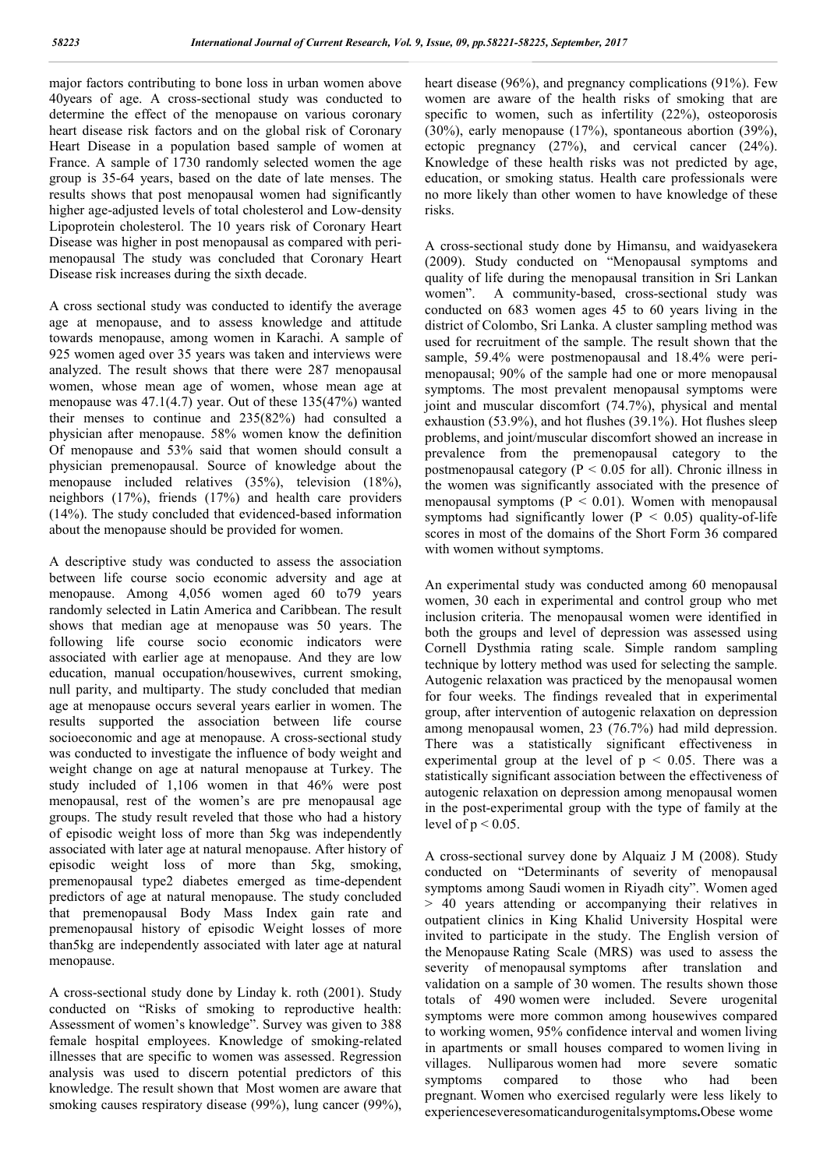major factors contributing to bone loss in urban women above 40years of age. A cross-sectional study was conducted to determine the effect of the menopause on various coronary heart disease risk factors and on the global risk of Coronary Heart Disease in a population based sample of women at France. A sample of 1730 randomly selected women the age group is 35-64 years, based on the date of late menses. The results shows that post menopausal women had significantly higher age-adjusted levels of total cholesterol and Low-density Lipoprotein cholesterol. The 10 years risk of Coronary Heart Disease was higher in post menopausal as compared with perimenopausal The study was concluded that Coronary Heart Disease risk increases during the sixth decade.

A cross sectional study was conducted to identify the average age at menopause, and to assess knowledge and attitude towards menopause, among women in Karachi. A sample of 925 women aged over 35 years was taken and interviews were analyzed. The result shows that there were 287 menopausal women, whose mean age of women, whose mean age at menopause was 47.1(4.7) year. Out of these 135(47%) wanted their menses to continue and 235(82%) had consulted a physician after menopause. 58% women know the definition Of menopause and 53% said that women should consult a physician premenopausal. Source of knowledge about the menopause included relatives (35%), television (18%), neighbors (17%), friends (17%) and health care providers (14%). The study concluded that evidenced-based information about the menopause should be provided for women.

A descriptive study was conducted to assess the association between life course socio economic adversity and age at menopause. Among 4,056 women aged 60 to79 years randomly selected in Latin America and Caribbean. The result shows that median age at menopause was 50 years. The following life course socio economic indicators were associated with earlier age at menopause. And they are low education, manual occupation/housewives, current smoking, null parity, and multiparty. The study concluded that median age at menopause occurs several years earlier in women. The results supported the association between life course socioeconomic and age at menopause. A cross-sectional study was conducted to investigate the influence of body weight and weight change on age at natural menopause at Turkey. The study included of 1,106 women in that 46% were post menopausal, rest of the women's are pre menopausal age groups. The study result reveled that those who had a history of episodic weight loss of more than 5kg was independently associated with later age at natural menopause. After history of episodic weight loss of more than 5kg, smoking, premenopausal type2 diabetes emerged as time-dependent predictors of age at natural menopause. The study concluded that premenopausal Body Mass Index gain rate and premenopausal history of episodic Weight losses of more than5kg are independently associated with later age at natural menopause.

A cross-sectional study done by Linday k. roth (2001). Study conducted on "Risks of smoking to reproductive health: Assessment of women's knowledge". Survey was given to 388 female hospital employees. Knowledge of smoking-related illnesses that are specific to women was assessed. Regression analysis was used to discern potential predictors of this knowledge. The result shown that Most women are aware that smoking causes respiratory disease (99%), lung cancer (99%), heart disease (96%), and pregnancy complications (91%). Few women are aware of the health risks of smoking that are specific to women, such as infertility (22%), osteoporosis (30%), early menopause (17%), spontaneous abortion (39%), ectopic pregnancy (27%), and cervical cancer (24%). Knowledge of these health risks was not predicted by age, education, or smoking status. Health care professionals were no more likely than other women to have knowledge of these risks.

A cross-sectional study done by Himansu, and waidyasekera (2009). Study conducted on "Menopausal symptoms and quality of life during the menopausal transition in Sri Lankan women". A community-based, cross-sectional study was conducted on 683 women ages 45 to 60 years living in the district of Colombo, Sri Lanka. A cluster sampling method was used for recruitment of the sample. The result shown that the sample, 59.4% were postmenopausal and 18.4% were perimenopausal; 90% of the sample had one or more menopausal symptoms. The most prevalent menopausal symptoms were joint and muscular discomfort (74.7%), physical and mental exhaustion (53.9%), and hot flushes (39.1%). Hot flushes sleep problems, and joint/muscular discomfort showed an increase in prevalence from the premenopausal category to the postmenopausal category ( $P < 0.05$  for all). Chronic illness in the women was significantly associated with the presence of menopausal symptoms ( $P < 0.01$ ). Women with menopausal symptoms had significantly lower ( $P < 0.05$ ) quality-of-life scores in most of the domains of the Short Form 36 compared with women without symptoms.

An experimental study was conducted among 60 menopausal women, 30 each in experimental and control group who met inclusion criteria. The menopausal women were identified in both the groups and level of depression was assessed using Cornell Dysthmia rating scale. Simple random sampling technique by lottery method was used for selecting the sample. Autogenic relaxation was practiced by the menopausal women for four weeks. The findings revealed that in experimental group, after intervention of autogenic relaxation on depression among menopausal women, 23 (76.7%) had mild depression. There was a statistically significant effectiveness in experimental group at the level of  $p < 0.05$ . There was a statistically significant association between the effectiveness of autogenic relaxation on depression among menopausal women in the post-experimental group with the type of family at the level of  $p < 0.05$ .

A cross-sectional survey done by Alquaiz J M (2008). Study conducted on "Determinants of severity of menopausal symptoms among Saudi women in Riyadh city". Women aged > 40 years attending or accompanying their relatives in outpatient clinics in King Khalid University Hospital were invited to participate in the study. The English version of the Menopause Rating Scale (MRS) was used to assess the severity of menopausal symptoms after translation and validation on a sample of 30 women. The results shown those totals of 490 women were included. Severe urogenital symptoms were more common among housewives compared to working women, 95% confidence interval and women living in apartments or small houses compared to women living in villages. Nulliparous women had more severe somatic symptoms compared to those who had been pregnant. Women who exercised regularly were less likely to experienceseveresomaticandurogenitalsymptoms**.**Obese wome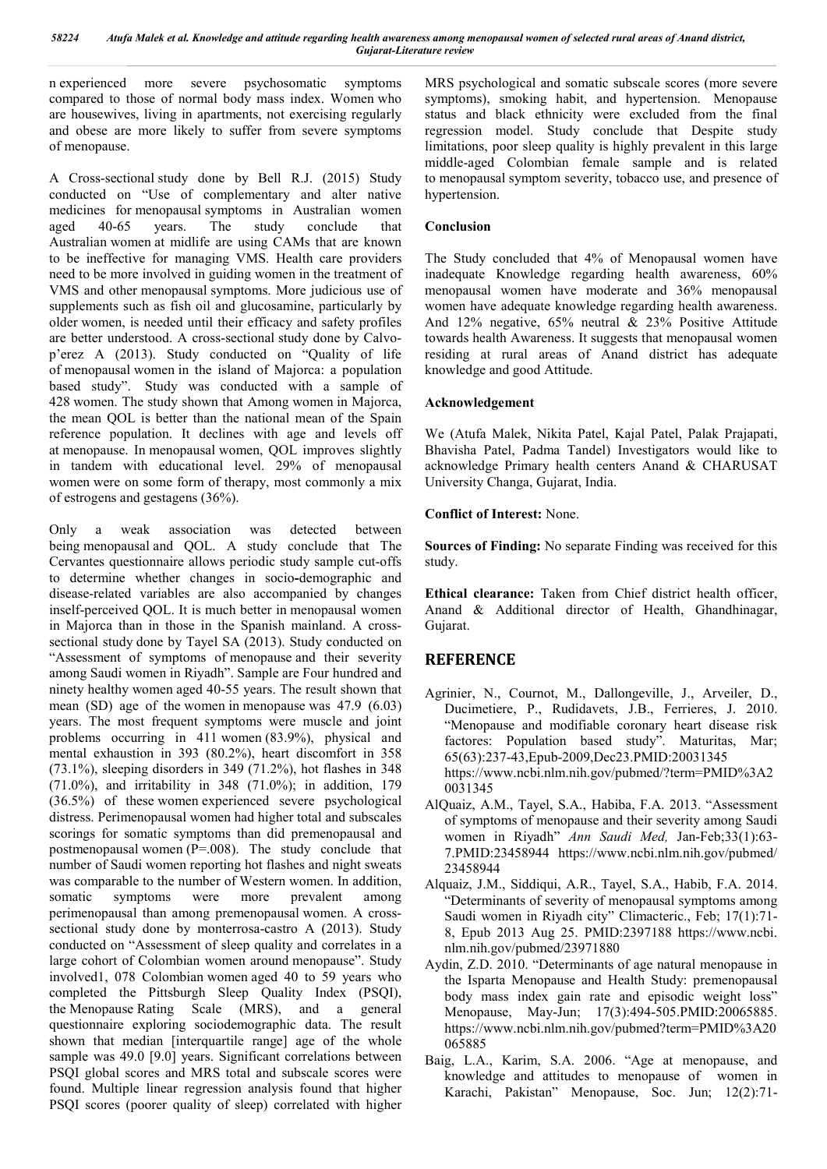n experienced more severe psychosomatic symptoms compared to those of normal body mass index. Women who are housewives, living in apartments, not exercising regularly and obese are more likely to suffer from severe symptoms of menopause.

A Cross-sectional study done by Bell R.J. (2015) Study conducted on "Use of complementary and alter native medicines for menopausal symptoms in Australian women aged 40-65 years. The study conclude that Australian women at midlife are using CAMs that are known to be ineffective for managing VMS. Health care providers need to be more involved in guiding women in the treatment of VMS and other menopausal symptoms. More judicious use of supplements such as fish oil and glucosamine, particularly by older women, is needed until their efficacy and safety profiles are better understood. A cross-sectional study done by Calvop'erez A (2013). Study conducted on "Quality of life of menopausal women in the island of Majorca: a population based study". Study was conducted with a sample of 428 women. The study shown that Among women in Majorca, the mean QOL is better than the national mean of the Spain reference population. It declines with age and levels off at menopause. In menopausal women, QOL improves slightly in tandem with educational level. 29% of menopausal women were on some form of therapy, most commonly a mix of estrogens and gestagens (36%).

Only a weak association was detected between being menopausal and QOL. A study conclude that The Cervantes questionnaire allows periodic study sample cut-offs to determine whether changes in socio**-**demographic and disease-related variables are also accompanied by changes inself-perceived QOL. It is much better in menopausal women in Majorca than in those in the Spanish mainland. A crosssectional study done by Tayel SA (2013). Study conducted on "Assessment of symptoms of menopause and their severity among Saudi women in Riyadh". Sample are Four hundred and ninety healthy women aged 40-55 years. The result shown that mean (SD) age of the women in menopause was 47.9 (6.03) years. The most frequent symptoms were muscle and joint problems occurring in 411 women (83.9%), physical and mental exhaustion in 393 (80.2%), heart discomfort in 358 (73.1%), sleeping disorders in 349 (71.2%), hot flashes in 348 (71.0%), and irritability in 348 (71.0%); in addition, 179 (36.5%) of these women experienced severe psychological distress. Perimenopausal women had higher total and subscales scorings for somatic symptoms than did premenopausal and postmenopausal women (P=.008). The study conclude that number of Saudi women reporting hot flashes and night sweats was comparable to the number of Western women. In addition, somatic symptoms were more prevalent among perimenopausal than among premenopausal women. A crosssectional study done by monterrosa-castro A (2013). Study conducted on "Assessment of sleep quality and correlates in a large cohort of Colombian women around menopause". Study involved1, 078 Colombian women aged 40 to 59 years who completed the Pittsburgh Sleep Quality Index (PSQI), the Menopause Rating Scale (MRS), and a general questionnaire exploring sociodemographic data. The result shown that median [interquartile range] age of the whole sample was 49.0 [9.0] years. Significant correlations between PSQI global scores and MRS total and subscale scores were found. Multiple linear regression analysis found that higher PSQI scores (poorer quality of sleep) correlated with higher

MRS psychological and somatic subscale scores (more severe symptoms), smoking habit, and hypertension. Menopause status and black ethnicity were excluded from the final regression model. Study conclude that Despite study limitations, poor sleep quality is highly prevalent in this large middle-aged Colombian female sample and is related to menopausal symptom severity, tobacco use, and presence of hypertension.

## **Conclusion**

The Study concluded that 4% of Menopausal women have inadequate Knowledge regarding health awareness, 60% menopausal women have moderate and 36% menopausal women have adequate knowledge regarding health awareness. And 12% negative, 65% neutral & 23% Positive Attitude towards health Awareness. It suggests that menopausal women residing at rural areas of Anand district has adequate knowledge and good Attitude.

### **Acknowledgement**

We (Atufa Malek, Nikita Patel, Kajal Patel, Palak Prajapati, Bhavisha Patel, Padma Tandel) Investigators would like to acknowledge Primary health centers Anand & CHARUSAT University Changa, Gujarat, India.

### **Conflict of Interest:** None.

**Sources of Finding:** No separate Finding was received for this study.

**Ethical clearance:** Taken from Chief district health officer, Anand & Additional director of Health, Ghandhinagar, Gujarat.

## **REFERENCE**

- Agrinier, N., Cournot, M., Dallongeville, J., Arveiler, D., Ducimetiere, P., Rudidavets, J.B., Ferrieres, J. 2010. "Menopause and modifiable coronary heart disease risk factores: Population based study". Maturitas, Mar; 65(63):237-43,Epub-2009,Dec23.PMID:20031345 https://www.ncbi.nlm.nih.gov/pubmed/?term=PMID%3A2 0031345
- AlQuaiz, A.M., Tayel, S.A., Habiba, F.A. 2013. "Assessment of symptoms of menopause and their severity among Saudi women in Riyadh" *Ann Saudi Med,* Jan-Feb;33(1):63- 7.PMID:23458944 https://www.ncbi.nlm.nih.gov/pubmed/ 23458944
- Alquaiz, J.M., Siddiqui, A.R., Tayel, S.A., Habib, F.A. 2014. "Determinants of severity of menopausal symptoms among Saudi women in Riyadh city" Climacteric., Feb; 17(1):71- 8, Epub 2013 Aug 25. PMID:2397188 https://www.ncbi. nlm.nih.gov/pubmed/23971880
- Aydin, Z.D. 2010. "Determinants of age natural menopause in the Isparta Menopause and Health Study: premenopausal body mass index gain rate and episodic weight loss" Menopause, May-Jun; 17(3):494-505.PMID:20065885. https://www.ncbi.nlm.nih.gov/pubmed?term=PMID%3A20 065885
- Baig, L.A., Karim, S.A. 2006. "Age at menopause, and knowledge and attitudes to menopause of women in Karachi, Pakistan" Menopause, Soc. Jun; 12(2):71-